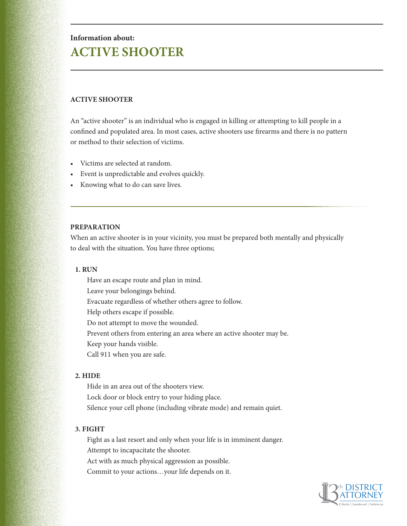# **Information about: ACTIVE SHOOTER**

## **ACTIVE SHOOTER**

An "active shooter" is an individual who is engaged in killing or attempting to kill people in a confined and populated area. In most cases, active shooters use firearms and there is no pattern or method to their selection of victims.

- Victims are selected at random.
- Event is unpredictable and evolves quickly.
- Knowing what to do can save lives.

## **PREPARATION**

When an active shooter is in your vicinity, you must be prepared both mentally and physically to deal with the situation. You have three options;

## **1. RUN**

Have an escape route and plan in mind.

Leave your belongings behind.

Evacuate regardless of whether others agree to follow.

Help others escape if possible.

Do not attempt to move the wounded.

Prevent others from entering an area where an active shooter may be.

Keep your hands visible.

Call 911 when you are safe.

## **2. HIDE**

Hide in an area out of the shooters view. Lock door or block entry to your hiding place. Silence your cell phone (including vibrate mode) and remain quiet.

# **3. FIGHT**

Fight as a last resort and only when your life is in imminent danger. Attempt to incapacitate the shooter. Act with as much physical aggression as possible. Commit to your actions…your life depends on it.